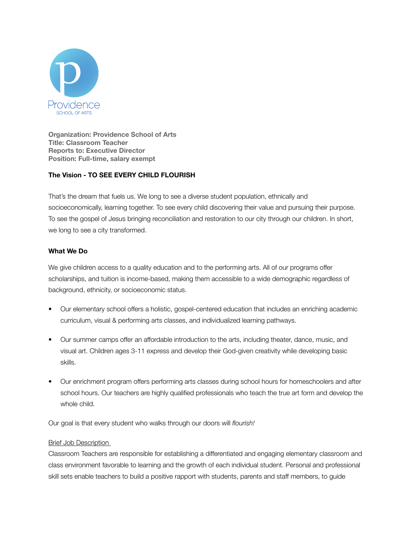

**Organization: Providence School of Arts Title: Classroom Teacher Reports to: Executive Director Position: Full-time, salary exempt** 

# **The Vision - TO SEE EVERY CHILD FLOURISH**

That's the dream that fuels us. We long to see a diverse student population, ethnically and socioeconomically, learning together. To see every child discovering their value and pursuing their purpose. To see the gospel of Jesus bringing reconciliation and restoration to our city through our children. In short, we long to see a city transformed.

# **What We Do**

We give children access to a quality education and to the performing arts. All of our programs offer scholarships, and tuition is income-based, making them accessible to a wide demographic regardless of background, ethnicity, or socioeconomic status.

- Our elementary school offers a holistic, gospel-centered education that includes an enriching academic curriculum, visual & performing arts classes, and individualized learning pathways.
- Our summer camps offer an affordable introduction to the arts, including theater, dance, music, and visual art. Children ages 3-11 express and develop their God-given creativity while developing basic skills.
- Our enrichment program offers performing arts classes during school hours for homeschoolers and after school hours. Our teachers are highly qualified professionals who teach the true art form and develop the whole child.

Our goal is that every student who walks through our doors will *flourish!* 

## Brief Job Description

Classroom Teachers are responsible for establishing a differentiated and engaging elementary classroom and class environment favorable to learning and the growth of each individual student. Personal and professional skill sets enable teachers to build a positive rapport with students, parents and staff members, to guide